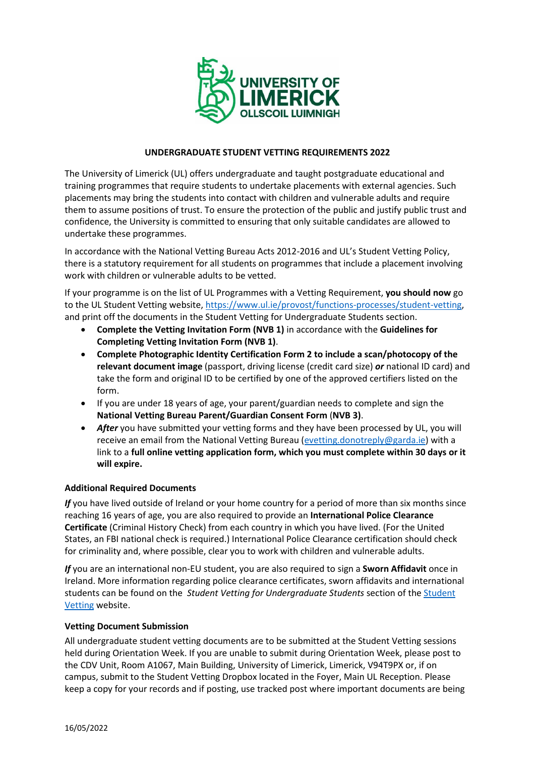

# **UNDERGRADUATE STUDENT VETTING REQUIREMENTS 2022**

The University of Limerick (UL) offers undergraduate and taught postgraduate educational and training programmes that require students to undertake placements with external agencies. Such placements may bring the students into contact with children and vulnerable adults and require them to assume positions of trust. To ensure the protection of the public and justify public trust and confidence, the University is committed to ensuring that only suitable candidates are allowed to undertake these programmes.

In accordance with the National Vetting Bureau Acts 2012-2016 and UL's Student Vetting Policy, there is a statutory requirement for all students on programmes that include a placement involving work with children or vulnerable adults to be vetted.

If your programme is on the list of UL Programmes with a Vetting Requirement, **you should now** go to the UL Student Vetting website, [https://www.ul.ie/provost/functions-processes/student-vetting,](https://www.ul.ie/provost/functions-processes/student-vetting) and print off the documents in the Student Vetting for Undergraduate Students section.

- **Complete the Vetting Invitation Form (NVB 1)** in accordance with the **Guidelines for Completing Vetting Invitation Form (NVB 1)**.
- **Complete Photographic Identity Certification Form 2 to include a scan/photocopy of the relevant document image** (passport, driving license (credit card size) *or* national ID card) and take the form and original ID to be certified by one of the approved certifiers listed on the form.
- If you are under 18 years of age, your parent/guardian needs to complete and sign the **National Vetting Bureau Parent/Guardian Consent Form** (**NVB 3)**.
- *After* you have submitted your vetting forms and they have been processed by UL, you will receive an email from the National Vetting Bureau [\(evetting.donotreply@garda.ie\)](mailto:evetting.donotreply@garda.ie) with a link to a **full online vetting application form, which you must complete within 30 days or it will expire.**

## **Additional Required Documents**

*If* you have lived outside of Ireland or your home country for a period of more than six months since reaching 16 years of age, you are also required to provide an **International Police Clearance Certificate** (Criminal History Check) from each country in which you have lived. (For the United States, an FBI national check is required.) International Police Clearance certification should check for criminality and, where possible, clear you to work with children and vulnerable adults.

*If* you are an international non-EU student, you are also required to sign a **Sworn Affidavit** once in Ireland. More information regarding police clearance certificates, sworn affidavits and international students can be found on the *Student Vetting for Undergraduate Students* section of th[e Student](https://www.ul.ie/provost/functions-processes/student-vetting)  [Vetting](https://www.ul.ie/provost/functions-processes/student-vetting) website.

## **Vetting Document Submission**

All undergraduate student vetting documents are to be submitted at the Student Vetting sessions held during Orientation Week. If you are unable to submit during Orientation Week, please post to the CDV Unit, Room A1067, Main Building, University of Limerick, Limerick, V94T9PX or, if on campus, submit to the Student Vetting Dropbox located in the Foyer, Main UL Reception. Please keep a copy for your records and if posting, use tracked post where important documents are being